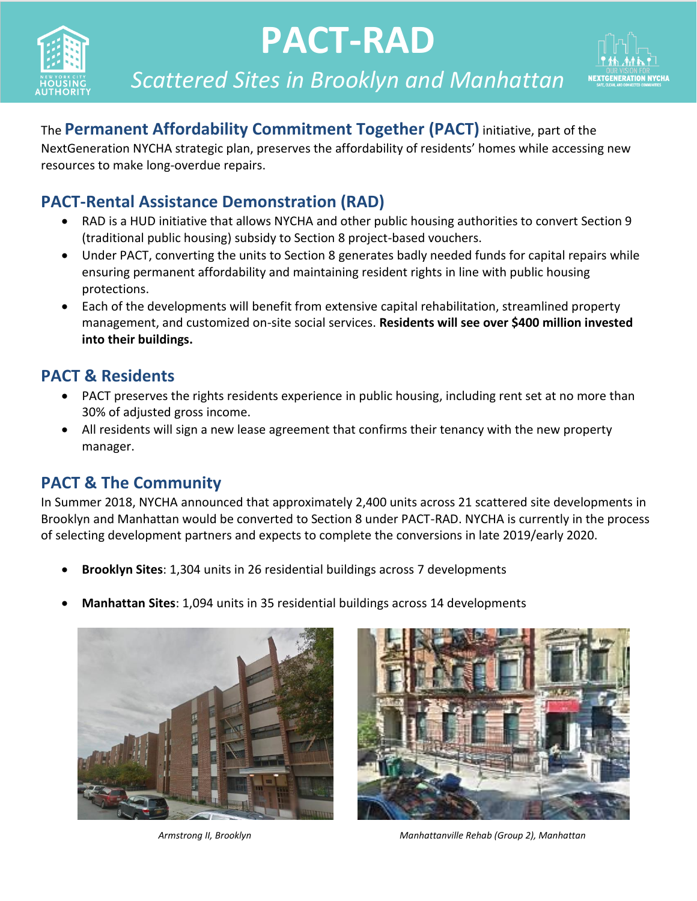

# **PACT-RAD**



*Scattered Sites in Brooklyn and Manhattan*

The **Permanent Affordability Commitment Together (PACT)** initiative, part of the

*Scattered Sites in the Bronx and Brooklyn* NextGeneration NYCHA strategic plan, preserves the affordability of residents' homes while accessing new resources to make long-overdue repairs.

#### **PACT-Rental Assistance Demonstration (RAD)**

- RAD is a HUD initiative that allows NYCHA and other public housing authorities to convert Section 9 (traditional public housing) subsidy to Section 8 project-based vouchers.
- Under PACT, converting the units to Section 8 generates badly needed funds for capital repairs while ensuring permanent affordability and maintaining resident rights in line with public housing protections.
- Each of the developments will benefit from extensive capital rehabilitation, streamlined property management, and customized on-site social services. **Residents will see over \$400 million invested into their buildings.**

#### **PACT & Residents**

- PACT preserves the rights residents experience in public housing, including rent set at no more than 30% of adjusted gross income.
- All residents will sign a new lease agreement that confirms their tenancy with the new property manager.

#### **PACT & The Community**

In Summer 2018, NYCHA announced that approximately 2,400 units across 21 scattered site developments in Brooklyn and Manhattan would be converted to Section 8 under PACT-RAD. NYCHA is currently in the process of selecting development partners and expects to complete the conversions in late 2019/early 2020.

- **Brooklyn Sites**: 1,304 units in 26 residential buildings across 7 developments
- **Manhattan Sites**: 1,094 units in 35 residential buildings across 14 developments



*Armstrong II, Brooklyn Manhattanville Rehab (Group 2), Manhattan*